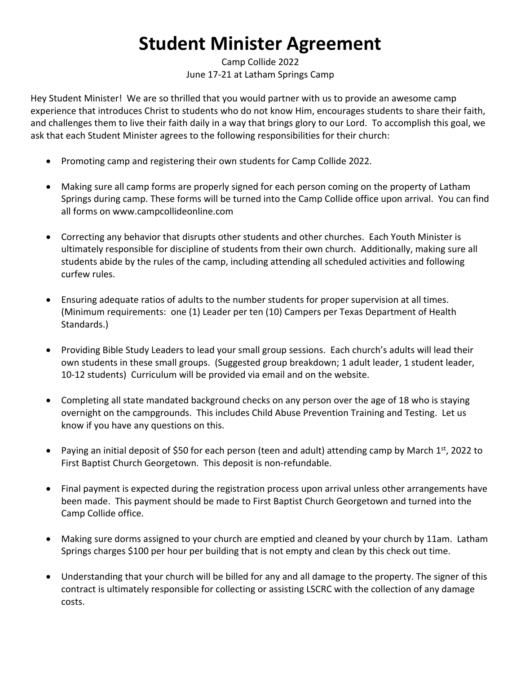## **Student Minister Agreement**

Camp Collide 2022 June 17-21 at Latham Springs Camp

Hey Student Minister! We are so thrilled that you would partner with us to provide an awesome camp experience that introduces Christ to students who do not know Him, encourages students to share their faith, and challenges them to live their faith daily in a way that brings glory to our Lord. To accomplish this goal, we ask that each Student Minister agrees to the following responsibilities for their church:

- Promoting camp and registering their own students for Camp Collide 2022.
- Making sure all camp forms are properly signed for each person coming on the property of Latham Springs during camp. These forms will be turned into the Camp Collide office upon arrival. You can find all forms on www.campcollideonline.com
- Correcting any behavior that disrupts other students and other churches. Each Youth Minister is ultimately responsible for discipline of students from their own church. Additionally, making sure all students abide by the rules of the camp, including attending all scheduled activities and following curfew rules.
- Ensuring adequate ratios of adults to the number students for proper supervision at all times. (Minimum requirements: one (1) Leader per ten (10) Campers per Texas Department of Health Standards.)
- Providing Bible Study Leaders to lead your small group sessions. Each church's adults will lead their own students in these small groups. (Suggested group breakdown; 1 adult leader, 1 student leader, 10-12 students) Curriculum will be provided via email and on the website.
- Completing all state mandated background checks on any person over the age of 18 who is staying overnight on the campgrounds. This includes Child Abuse Prevention Training and Testing. Let us know if you have any questions on this.
- Paying an initial deposit of \$50 for each person (teen and adult) attending camp by March  $1^{st}$ , 2022 to First Baptist Church Georgetown. This deposit is non-refundable.
- Final payment is expected during the registration process upon arrival unless other arrangements have been made. This payment should be made to First Baptist Church Georgetown and turned into the Camp Collide office.
- Making sure dorms assigned to your church are emptied and cleaned by your church by 11am. Latham Springs charges \$100 per hour per building that is not empty and clean by this check out time.
- Understanding that your church will be billed for any and all damage to the property. The signer of this contract is ultimately responsible for collecting or assisting LSCRC with the collection of any damage costs.